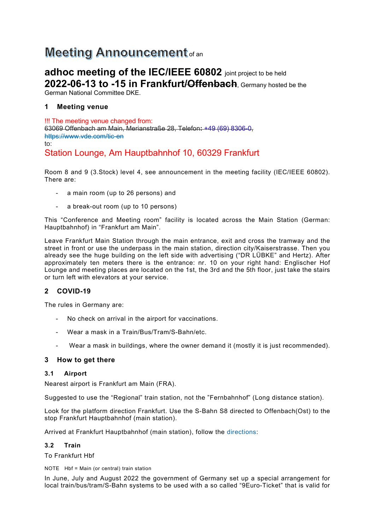# Meeting Announcement of an

# **adhoc meeting of the IEC/IEEE 60802** joint project to be held **2022-06-13 to -15 in Frankfurt/Offenbach**, Germany hosted be the German National Committee DKE.

## **1 Meeting venue**

!!! The meeting venue changed from: 63069 Offenbach am Main, Merianstraße 28, [Telefon](https://www.google.com/search?rlz=1C1CHBF_deDE927DE927&q=vde+pr%C3%BCf-+und+zertifizierungsinstitut+gmbh+telefon&ludocid=5640632224855145963&sa=X&ved=2ahUKEwipnLTkq_X2AhXXu6QKHSdWCa0Q6BN6BAhgEAI)**:** [+49 \(69\) 8306-0,](https://www.google.com/search?gs_ssp=eJzj4tZP1zcsSTGqzLE0MGC0UjWoMDFPSjFISbU0NjCySDI0N7YCCqWamFukGKZZmBsmJ6WkJnlpl6WkKhQUHd6TpqtQmpeiUJVaVJKZllmVmVpUmpdenJlXXJJZUlqikJ6blAEAmOYgdw&q=vde+pr%C3%BCf-+und+zertifizierungsinstitut+gmbh&rlz=1C1CHBF_deDE927DE927&oq=vde+pr%C3%BCf&aqs=chrome.4.0i512j69i57j0i512l2j46i175i199i512j0i512l5.9919j0j15&sourceid=chrome&ie=UTF-8) <https://www.vde.com/tic-en> to:

Station Lounge, Am Hauptbahnhof 10, 60329 Frankfurt

Room 8 and 9 (3.Stock) level 4, see announcement in the meeting facility (IEC/IEEE 60802). There are:

- a main room (up to 26 persons) and
- a break-out room (up to 10 persons)

This "Conference and Meeting room" facility is located across the Main Station (German: Hauptbahnhof) in "Frankfurt am Main".

Leave Frankfurt Main Station through the main entrance, exit and cross the tramway and the street in front or use the underpass in the main station, direction city/Kaiserstrasse. Then you already see the huge building on the left side with advertising ("DR LÜBKE" and Hertz). After approximately ten meters there is the entrance: nr. 10 on your right hand: Englischer Hof Lounge and meeting places are located on the 1st, the 3rd and the 5th floor, just take the stairs or turn left with elevators at your service.

# **2 COVID-19**

The rules in Germany are:

- No check on arrival in the airport for vaccinations.
- Wear a mask in a Train/Bus/Tram/S-Bahn/etc.
- Wear a mask in buildings, where the owner demand it (mostly it is just recommended).

## **3 How to get there**

#### **3.1 Airport**

Nearest airport is Frankfurt am Main (FRA).

Suggested to use the "Regional" train station, not the "Fernbahnhof" (Long distance station).

Look for the platform direction Frankfurt. Use the S-Bahn S8 directed to Offenbach(Ost) to the stop Frankfurt Hauptbahnhof (main station).

Arrived at Frankfurt Hauptbahnhof (main station), follow the [directions:](http://station-lounge.de/webyep-system/programm/opt/tinymce/jscripts/tiny_mce/plugins/filemanager/files/Wegbbeschreibung%20englisch.pdf)

#### **3.2 Train**

To Frankfurt Hbf

NOTE Hbf = Main (or central) train station

In June, July and August 2022 the government of Germany set up a special arrangement for local train/bus/tram/S-Bahn systems to be used with a so called "9Euro-Ticket" that is valid for